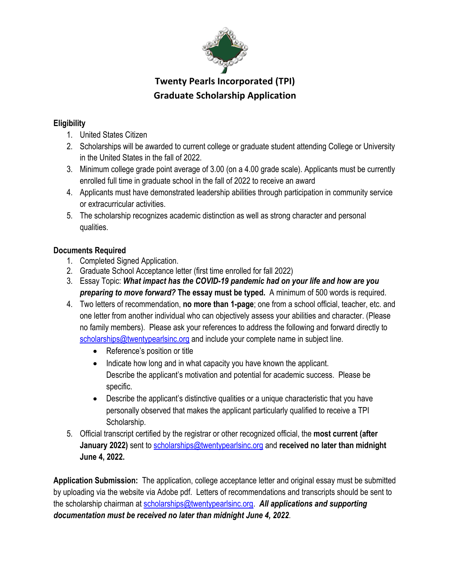

## **Twenty Pearls Incorporated (TPI) Graduate Scholarship Application**

#### **Eligibility**

- 1. United States Citizen
- 2. Scholarships will be awarded to current college or graduate student attending College or University in the United States in the fall of 2022.
- 3. Minimum college grade point average of 3.00 (on a 4.00 grade scale). Applicants must be currently enrolled full time in graduate school in the fall of 2022 to receive an award
- 4. Applicants must have demonstrated leadership abilities through participation in community service or extracurricular activities.
- 5. The scholarship recognizes academic distinction as well as strong character and personal qualities.

### **Documents Required**

- 1. Completed Signed Application.
- 2. Graduate School Acceptance letter (first time enrolled for fall 2022)
- 3. Essay Topic: *What impact has the COVID-19 pandemic had on your life and how are you preparing to move forward?* **The essay must be typed.** A minimum of 500 words is required.
- 4. Two letters of recommendation, **no more than 1-page**; one from a school official, teacher, etc. and one letter from another individual who can objectively assess your abilities and character. (Please no family members). Please ask your references to address the following and forward directly to scholarships@twentypearlsinc.org and include your complete name in subject line.
	- Reference's position or title
	- Indicate how long and in what capacity you have known the applicant. Describe the applicant's motivation and potential for academic success. Please be specific.
	- Describe the applicant's distinctive qualities or a unique characteristic that you have personally observed that makes the applicant particularly qualified to receive a TPI Scholarship.
- 5. Official transcript certified by the registrar or other recognized official, the **most current (after January 2022)** sent to scholarships@twentypearlsinc.org and **received no later than midnight June 4, 2022.**

**Application Submission:** The application, college acceptance letter and original essay must be submitted by uploading via the website via Adobe pdf. Letters of recommendations and transcripts should be sent to the scholarship chairman at scholarships@twentypearlsinc.org. *All applications and supporting documentation must be received no later than midnight June 4, 2022*.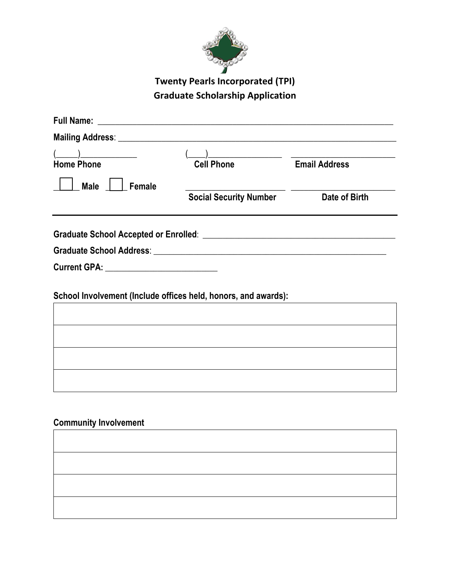

# **Twenty Pearls Incorporated (TPI) Graduate Scholarship Application**

| <b>Home Phone</b>                                              | <b>Cell Phone</b>             |               |
|----------------------------------------------------------------|-------------------------------|---------------|
| <b>Male</b><br>Female                                          |                               |               |
|                                                                | <b>Social Security Number</b> | Date of Birth |
|                                                                |                               |               |
|                                                                |                               |               |
|                                                                |                               |               |
| Current GPA: ____________________________                      |                               |               |
|                                                                |                               |               |
| School Involvement (Include offices held, honors, and awards): |                               |               |
|                                                                |                               |               |
|                                                                |                               |               |
|                                                                |                               |               |
|                                                                |                               |               |
|                                                                |                               |               |
|                                                                |                               |               |

### **Community Involvement**